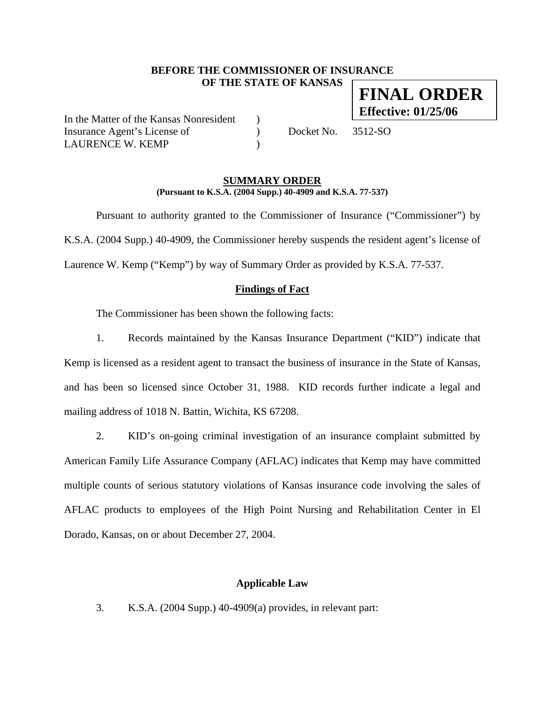### **BEFORE THE COMMISSIONER OF INSURANCE OF THE STATE OF KANSAS FINAL ORDER**

In the Matter of the Kansas Nonresident ) Insurance Agent's License of  $Docket No. 3512-SO$ LAURENCE W. KEMP

**Effective: 01/25/06**

#### **SUMMARY ORDER (Pursuant to K.S.A. (2004 Supp.) 40-4909 and K.S.A. 77-537)**

 Pursuant to authority granted to the Commissioner of Insurance ("Commissioner") by K.S.A. (2004 Supp.) 40-4909, the Commissioner hereby suspends the resident agent's license of Laurence W. Kemp ("Kemp") by way of Summary Order as provided by K.S.A. 77-537.

# **Findings of Fact**

The Commissioner has been shown the following facts:

1. Records maintained by the Kansas Insurance Department ("KID") indicate that Kemp is licensed as a resident agent to transact the business of insurance in the State of Kansas, and has been so licensed since October 31, 1988. KID records further indicate a legal and mailing address of 1018 N. Battin, Wichita, KS 67208.

2. KID's on-going criminal investigation of an insurance complaint submitted by American Family Life Assurance Company (AFLAC) indicates that Kemp may have committed multiple counts of serious statutory violations of Kansas insurance code involving the sales of AFLAC products to employees of the High Point Nursing and Rehabilitation Center in El Dorado, Kansas, on or about December 27, 2004.

# **Applicable Law**

3. K.S.A. (2004 Supp.) 40-4909(a) provides, in relevant part: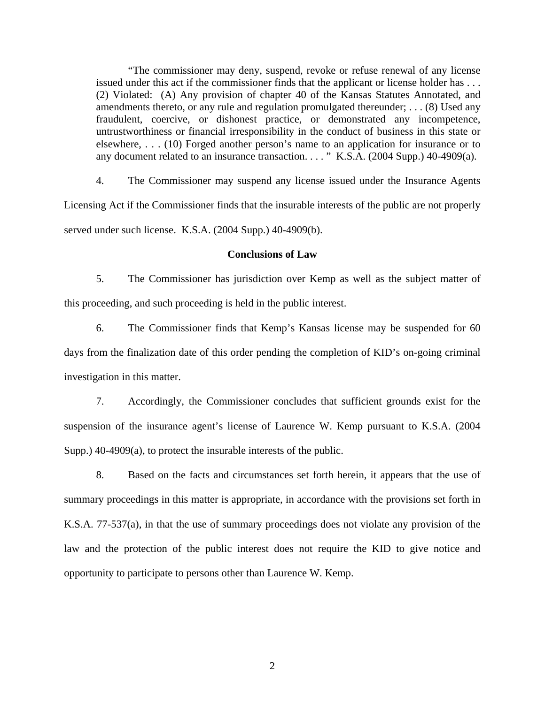"The commissioner may deny, suspend, revoke or refuse renewal of any license issued under this act if the commissioner finds that the applicant or license holder has . . . (2) Violated: (A) Any provision of chapter 40 of the Kansas Statutes Annotated, and amendments thereto, or any rule and regulation promulgated thereunder; . . . (8) Used any fraudulent, coercive, or dishonest practice, or demonstrated any incompetence, untrustworthiness or financial irresponsibility in the conduct of business in this state or elsewhere, . . . (10) Forged another person's name to an application for insurance or to any document related to an insurance transaction. . . . " K.S.A. (2004 Supp.) 40-4909(a).

4. The Commissioner may suspend any license issued under the Insurance Agents Licensing Act if the Commissioner finds that the insurable interests of the public are not properly served under such license. K.S.A. (2004 Supp.) 40-4909(b).

#### **Conclusions of Law**

5. The Commissioner has jurisdiction over Kemp as well as the subject matter of this proceeding, and such proceeding is held in the public interest.

6. The Commissioner finds that Kemp's Kansas license may be suspended for 60 days from the finalization date of this order pending the completion of KID's on-going criminal investigation in this matter.

7. Accordingly, the Commissioner concludes that sufficient grounds exist for the suspension of the insurance agent's license of Laurence W. Kemp pursuant to K.S.A. (2004 Supp.) 40-4909(a), to protect the insurable interests of the public.

8. Based on the facts and circumstances set forth herein, it appears that the use of summary proceedings in this matter is appropriate, in accordance with the provisions set forth in K.S.A. 77-537(a), in that the use of summary proceedings does not violate any provision of the law and the protection of the public interest does not require the KID to give notice and opportunity to participate to persons other than Laurence W. Kemp.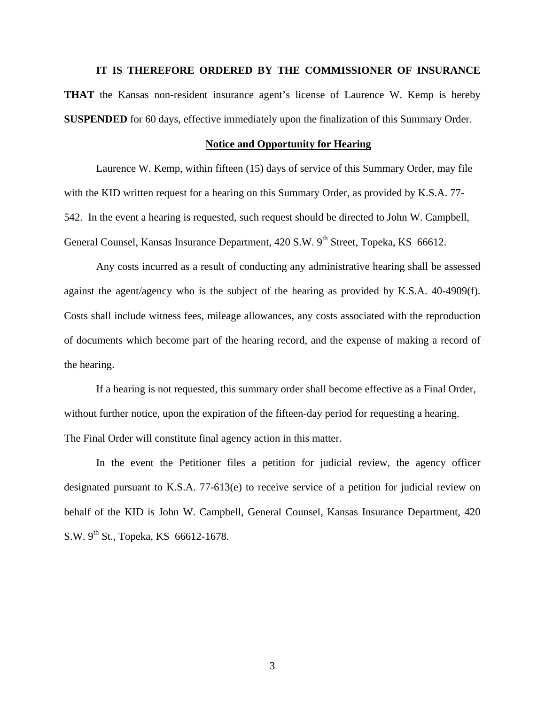**IT IS THEREFORE ORDERED BY THE COMMISSIONER OF INSURANCE THAT** the Kansas non-resident insurance agent's license of Laurence W. Kemp is hereby **SUSPENDED** for 60 days, effective immediately upon the finalization of this Summary Order.

#### **Notice and Opportunity for Hearing**

Laurence W. Kemp, within fifteen (15) days of service of this Summary Order, may file with the KID written request for a hearing on this Summary Order, as provided by K.S.A. 77- 542. In the event a hearing is requested, such request should be directed to John W. Campbell, General Counsel, Kansas Insurance Department, 420 S.W. 9<sup>th</sup> Street, Topeka, KS 66612.

 Any costs incurred as a result of conducting any administrative hearing shall be assessed against the agent/agency who is the subject of the hearing as provided by K.S.A. 40-4909(f). Costs shall include witness fees, mileage allowances, any costs associated with the reproduction of documents which become part of the hearing record, and the expense of making a record of the hearing.

If a hearing is not requested, this summary order shall become effective as a Final Order, without further notice, upon the expiration of the fifteen-day period for requesting a hearing. The Final Order will constitute final agency action in this matter.

In the event the Petitioner files a petition for judicial review, the agency officer designated pursuant to K.S.A. 77-613(e) to receive service of a petition for judicial review on behalf of the KID is John W. Campbell, General Counsel, Kansas Insurance Department, 420 S.W.  $9^{th}$  St., Topeka, KS 66612-1678.